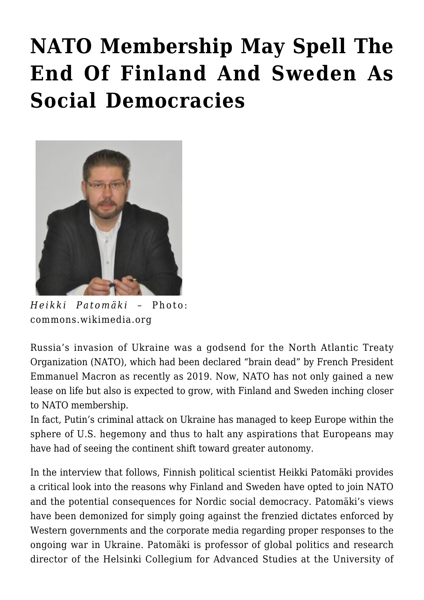## **[NATO Membership May Spell The](https://rozenbergquarterly.com/nato-membership-may-spell-the-end-of-finland-and-sweden-as-social-democracies/) [End Of Finland And Sweden As](https://rozenbergquarterly.com/nato-membership-may-spell-the-end-of-finland-and-sweden-as-social-democracies/) [Social Democracies](https://rozenbergquarterly.com/nato-membership-may-spell-the-end-of-finland-and-sweden-as-social-democracies/)**



*Heikki Patomäki* – Photo: commons.wikimedia.org

Russia's invasion of Ukraine was a godsend for the North Atlantic Treaty Organization (NATO), which had been declared "brain dead" by French President Emmanuel Macron as recently as 2019. Now, NATO has not only gained a new lease on life but also is expected to grow, with Finland and Sweden inching closer to NATO membership.

In fact, Putin's criminal attack on Ukraine has managed to keep Europe within the sphere of U.S. hegemony and thus to halt any aspirations that Europeans may have had of seeing the continent shift toward greater autonomy.

In the interview that follows, Finnish political scientist Heikki Patomäki provides a critical look into the reasons why Finland and Sweden have opted to join NATO and the potential consequences for Nordic social democracy. Patomäki's views have been demonized for simply going against the frenzied dictates enforced by Western governments and the corporate media regarding proper responses to the ongoing war in Ukraine. Patomäki is professor of global politics and research director of the Helsinki Collegium for Advanced Studies at the University of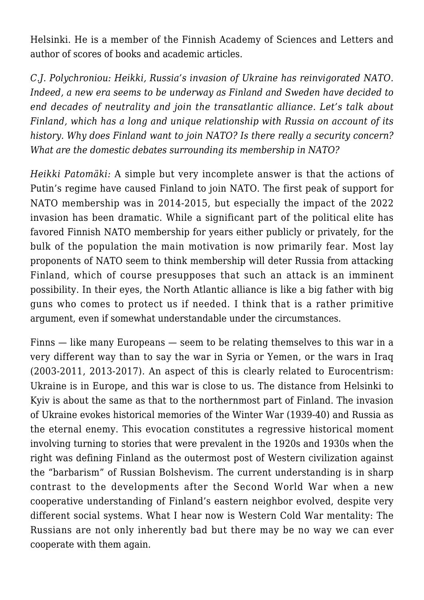Helsinki. He is a member of the Finnish Academy of Sciences and Letters and author of scores of books and academic articles.

*C.J. Polychroniou: Heikki, Russia's invasion of Ukraine has reinvigorated NATO. Indeed, a new era seems to be underway as Finland and Sweden have decided to end decades of neutrality and join the transatlantic alliance. Let's talk about Finland, which has a long and unique relationship with Russia on account of its history. Why does Finland want to join NATO? Is there really a security concern? What are the domestic debates surrounding its membership in NATO?*

*Heikki Patomäki:* A simple but very incomplete answer is that the actions of Putin's regime have caused Finland to join NATO. The first peak of support for NATO membership was in 2014-2015, but especially the impact of the 2022 invasion has been dramatic. While a significant part of the political elite has favored Finnish NATO membership for years either publicly or privately, for the bulk of the population the main motivation is now primarily fear. Most lay proponents of NATO seem to think membership will deter Russia from attacking Finland, which of course presupposes that such an attack is an imminent possibility. In their eyes, the North Atlantic alliance is like a big father with big guns who comes to protect us if needed. I think that is a rather primitive argument, even if somewhat understandable under the circumstances.

Finns — like many Europeans — seem to be relating themselves to this war in a very different way than to say the war in Syria or Yemen, or the wars in Iraq (2003-2011, 2013-2017). An aspect of this is clearly related to Eurocentrism: Ukraine is in Europe, and this war is close to us. The distance from Helsinki to Kyiv is about the same as that to the northernmost part of Finland. The invasion of Ukraine evokes historical memories of the Winter War (1939-40) and Russia as the eternal enemy. This evocation constitutes a regressive historical moment involving turning to stories that were prevalent in the 1920s and 1930s when the right was defining Finland as the outermost post of Western civilization against the "barbarism" of Russian Bolshevism. The current understanding is in sharp contrast to the developments after the Second World War when a new cooperative understanding of Finland's eastern neighbor evolved, despite very different social systems. What I hear now is Western Cold War mentality: The Russians are not only inherently bad but there may be no way we can ever cooperate with them again.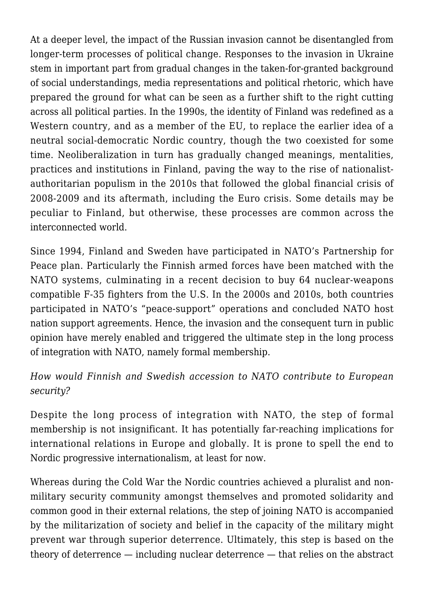At a deeper level, the impact of the Russian invasion cannot be disentangled from longer-term processes of political change. Responses to the invasion in Ukraine stem in important part from gradual changes in the taken-for-granted background of social understandings, media representations and political rhetoric, which have prepared the ground for what can be seen as a further shift to the right cutting across all political parties. In the 1990s, the identity of Finland was redefined as a Western country, and as a member of the EU, to replace the earlier idea of a neutral social-democratic Nordic country, though the two coexisted for some time. Neoliberalization in turn has gradually changed meanings, mentalities, practices and institutions in Finland, paving the way to the rise of nationalistauthoritarian populism in the 2010s that followed the global financial crisis of 2008-2009 and its aftermath, including the Euro crisis. Some details may be peculiar to Finland, but otherwise, these processes are common across the interconnected world.

Since 1994, Finland and Sweden have participated in NATO's Partnership for Peace plan. Particularly the Finnish armed forces have been matched with the NATO systems, culminating in a recent decision to buy 64 nuclear-weapons compatible F-35 fighters from the U.S. In the 2000s and 2010s, both countries participated in NATO's "peace-support" operations and concluded NATO host nation support agreements. Hence, the invasion and the consequent turn in public opinion have merely enabled and triggered the ultimate step in the long process of integration with NATO, namely formal membership.

## *How would Finnish and Swedish accession to NATO contribute to European security?*

Despite the long process of integration with NATO, the step of formal membership is not insignificant. It has potentially far-reaching implications for international relations in Europe and globally. It is prone to spell the end to Nordic progressive internationalism, at least for now.

Whereas during the Cold War the Nordic countries achieved a pluralist and nonmilitary security community amongst themselves and promoted solidarity and common good in their external relations, the step of joining NATO is accompanied by the militarization of society and belief in the capacity of the military might prevent war through superior deterrence. Ultimately, this step is based on the theory of deterrence — including nuclear deterrence — that relies on the abstract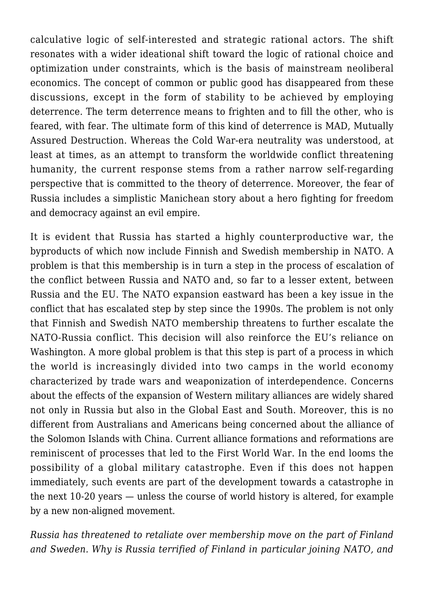calculative logic of self-interested and strategic rational actors. The shift resonates with a wider ideational shift toward the logic of rational choice and optimization under constraints, which is the basis of mainstream neoliberal economics. The concept of common or public good has disappeared from these discussions, except in the form of stability to be achieved by employing deterrence. The term deterrence means to frighten and to fill the other, who is feared, with fear. The ultimate form of this kind of deterrence is MAD, Mutually Assured Destruction. Whereas the Cold War-era neutrality was understood, at least at times, as an attempt to transform the worldwide conflict threatening humanity, the current response stems from a rather narrow self-regarding perspective that is committed to the theory of deterrence. Moreover, the fear of Russia includes a simplistic Manichean story about a hero fighting for freedom and democracy against an evil empire.

It is evident that Russia has started a highly counterproductive war, the byproducts of which now include Finnish and Swedish membership in NATO. A problem is that this membership is in turn a step in the process of escalation of the conflict between Russia and NATO and, so far to a lesser extent, between Russia and the EU. The NATO expansion eastward has been a key issue in the conflict that has escalated step by step since the 1990s. The problem is not only that Finnish and Swedish NATO membership threatens to further escalate the NATO-Russia conflict. This decision will also reinforce the EU's reliance on Washington. A more global problem is that this step is part of a process in which the world is increasingly divided into two camps in the world economy characterized by trade wars and weaponization of interdependence. Concerns about the effects of the expansion of Western military alliances are widely shared not only in Russia but also in the Global East and South. Moreover, this is no different from Australians and Americans being concerned about the alliance of the Solomon Islands with China. Current alliance formations and reformations are reminiscent of processes that led to the First World War. In the end looms the possibility of a global military catastrophe. Even if this does not happen immediately, such events are part of the development towards a catastrophe in the next 10-20 years — unless the course of world history is altered, for example by a new non-aligned movement.

*Russia has threatened to retaliate over membership move on the part of Finland and Sweden. Why is Russia terrified of Finland in particular joining NATO, and*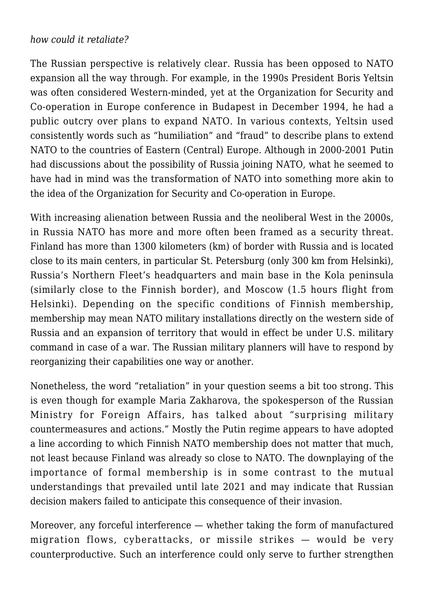## *how could it retaliate?*

The Russian perspective is relatively clear. Russia has been opposed to NATO expansion all the way through. For example, in the 1990s President Boris Yeltsin was often considered Western-minded, yet at the Organization for Security and Co-operation in Europe conference in Budapest in December 1994, he had a public outcry over plans to expand NATO. In various contexts, Yeltsin used consistently words such as "humiliation" and "fraud" to describe plans to extend NATO to the countries of Eastern (Central) Europe. Although in 2000-2001 Putin had discussions about the possibility of Russia joining NATO, what he seemed to have had in mind was the transformation of NATO into something more akin to the idea of the Organization for Security and Co-operation in Europe.

With increasing alienation between Russia and the neoliberal West in the 2000s, in Russia NATO has more and more often been framed as a security threat. Finland has more than 1300 kilometers (km) of border with Russia and is located close to its main centers, in particular St. Petersburg (only 300 km from Helsinki), Russia's Northern Fleet's headquarters and main base in the Kola peninsula (similarly close to the Finnish border), and Moscow (1.5 hours flight from Helsinki). Depending on the specific conditions of Finnish membership, membership may mean NATO military installations directly on the western side of Russia and an expansion of territory that would in effect be under U.S. military command in case of a war. The Russian military planners will have to respond by reorganizing their capabilities one way or another.

Nonetheless, the word "retaliation" in your question seems a bit too strong. This is even though for example Maria Zakharova, the spokesperson of the Russian Ministry for Foreign Affairs, has talked about "surprising military countermeasures and actions." Mostly the Putin regime appears to have adopted a line according to which Finnish NATO membership does not matter that much, not least because Finland was already so close to NATO. The downplaying of the importance of formal membership is in some contrast to the mutual understandings that prevailed until late 2021 and may indicate that Russian decision makers failed to anticipate this consequence of their invasion.

Moreover, any forceful interference — whether taking the form of manufactured migration flows, cyberattacks, or missile strikes — would be very counterproductive. Such an interference could only serve to further strengthen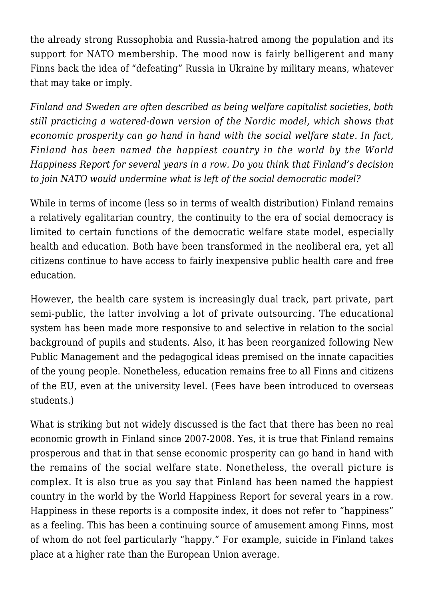the already strong Russophobia and Russia-hatred among the population and its support for NATO membership. The mood now is fairly belligerent and many Finns back the idea of "defeating" Russia in Ukraine by military means, whatever that may take or imply.

*Finland and Sweden are often described as being welfare capitalist societies, both still practicing a watered-down version of the Nordic model, which shows that economic prosperity can go hand in hand with the social welfare state. In fact, Finland has been named the happiest country in the world by the World Happiness Report for several years in a row. Do you think that Finland's decision to join NATO would undermine what is left of the social democratic model?*

While in terms of income (less so in terms of wealth distribution) Finland remains a relatively egalitarian country, the continuity to the era of social democracy is limited to certain functions of the democratic welfare state model, especially health and education. Both have been transformed in the neoliberal era, yet all citizens continue to have access to fairly inexpensive public health care and free education.

However, the health care system is increasingly dual track, part private, part semi-public, the latter involving a lot of private outsourcing. The educational system has been made more responsive to and selective in relation to the social background of pupils and students. Also, it has been reorganized following New Public Management and the pedagogical ideas premised on the innate capacities of the young people. Nonetheless, education remains free to all Finns and citizens of the EU, even at the university level. (Fees have been introduced to overseas students.)

What is striking but not widely discussed is the fact that there has been no real economic growth in Finland since 2007-2008. Yes, it is true that Finland remains prosperous and that in that sense economic prosperity can go hand in hand with the remains of the social welfare state. Nonetheless, the overall picture is complex. It is also true as you say that Finland has been named the happiest country in the world by the World Happiness Report for several years in a row. Happiness in these reports is a composite index, it does not refer to "happiness" as a feeling. This has been a continuing source of amusement among Finns, most of whom do not feel particularly "happy." For example, suicide in Finland takes place at a higher rate than the European Union average.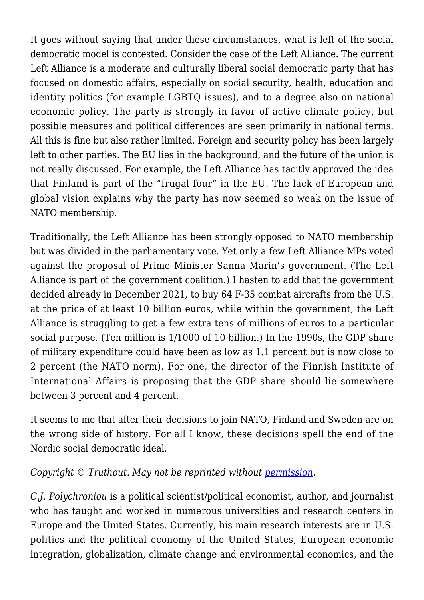It goes without saying that under these circumstances, what is left of the social democratic model is contested. Consider the case of the Left Alliance. The current Left Alliance is a moderate and culturally liberal social democratic party that has focused on domestic affairs, especially on social security, health, education and identity politics (for example LGBTQ issues), and to a degree also on national economic policy. The party is strongly in favor of active climate policy, but possible measures and political differences are seen primarily in national terms. All this is fine but also rather limited. Foreign and security policy has been largely left to other parties. The EU lies in the background, and the future of the union is not really discussed. For example, the Left Alliance has tacitly approved the idea that Finland is part of the "frugal four" in the EU. The lack of European and global vision explains why the party has now seemed so weak on the issue of NATO membership.

Traditionally, the Left Alliance has been strongly opposed to NATO membership but was divided in the parliamentary vote. Yet only a few Left Alliance MPs voted against the proposal of Prime Minister Sanna Marin's government. (The Left Alliance is part of the government coalition.) I hasten to add that the government decided already in December 2021, to buy 64 F-35 combat aircrafts from the U.S. at the price of at least 10 billion euros, while within the government, the Left Alliance is struggling to get a few extra tens of millions of euros to a particular social purpose. (Ten million is 1/1000 of 10 billion.) In the 1990s, the GDP share of military expenditure could have been as low as 1.1 percent but is now close to 2 percent (the NATO norm). For one, the director of the Finnish Institute of International Affairs is proposing that the GDP share should lie somewhere between 3 percent and 4 percent.

It seems to me that after their decisions to join NATO, Finland and Sweden are on the wrong side of history. For all I know, these decisions spell the end of the Nordic social democratic ideal.

## *Copyright* © Truthout. May not be reprinted without <u>permission</u>.

*C.J. Polychroniou* is a political scientist/political economist, author, and journalist who has taught and worked in numerous universities and research centers in Europe and the United States. Currently, his main research interests are in U.S. politics and the political economy of the United States, European economic integration, globalization, climate change and environmental economics, and the